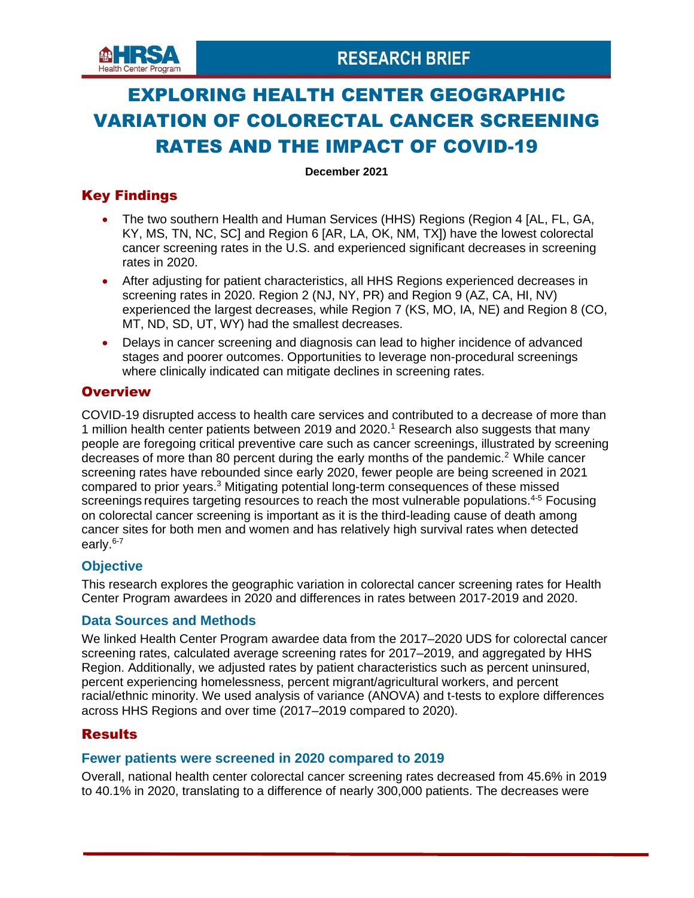

# EXPLORING HEALTH CENTER GEOGRAPHIC VARIATION OF COLORECTAL CANCER SCREENING RATES AND THE IMPACT OF COVID-19

**December 2021**

# Key Findings

- The two southern Health and Human Services (HHS) Regions (Region 4 [AL, FL, GA, KY, MS, TN, NC, SC] and Region 6 [AR, LA, OK, NM, TX]) have the lowest colorectal cancer screening rates in the U.S. and experienced significant decreases in screening rates in 2020.
- After adjusting for patient characteristics, all HHS Regions experienced decreases in screening rates in 2020. Region 2 (NJ, NY, PR) and Region 9 (AZ, CA, HI, NV) experienced the largest decreases, while Region 7 (KS, MO, IA, NE) and Region 8 (CO, MT, ND, SD, UT, WY) had the smallest decreases.
- Delays in cancer screening and diagnosis can lead to higher incidence of advanced stages and poorer outcomes. Opportunities to leverage non-procedural screenings where clinically indicated can mitigate declines in screening rates.

# **Overview**

COVID-19 disrupted access to health care services and contributed to a decrease of more than 1 million health center patients between 2019 and 2020.<sup>1</sup> Research also suggests that many people are foregoing critical preventive care such as cancer screenings, illustrated by screening decreases of more than 80 percent during the early months of the pandemic.<sup>2</sup> While cancer screening rates have rebounded since early 2020, fewer people are being screened in 2021 compared to prior years.<sup>3</sup> Mitigating potential long-term consequences of these missed screenings requires targeting resources to reach the most vulnerable populations.<sup>4-5</sup> Focusing on colorectal cancer screening is important as it is the third-leading cause of death among cancer sites for both men and women and has relatively high survival rates when detected early.<sup>6-7</sup>

# **Objective**

This research explores the geographic variation in colorectal cancer screening rates for Health Center Program awardees in 2020 and differences in rates between 2017-2019 and 2020.

# **Data Sources and Methods**

We linked Health Center Program awardee data from the 2017–2020 UDS for colorectal cancer screening rates, calculated average screening rates for 2017–2019, and aggregated by HHS Region. Additionally, we adjusted rates by patient characteristics such as percent uninsured, percent experiencing homelessness, percent migrant/agricultural workers, and percent racial/ethnic minority. We used analysis of variance (ANOVA) and t-tests to explore differences across HHS Regions and over time (2017–2019 compared to 2020).

# **Results**

# **Fewer patients were screened in 2020 compared to 2019**

Overall, national health center colorectal cancer screening rates decreased from 45.6% in 2019 to 40.1% in 2020, translating to a difference of nearly 300,000 patients. The decreases were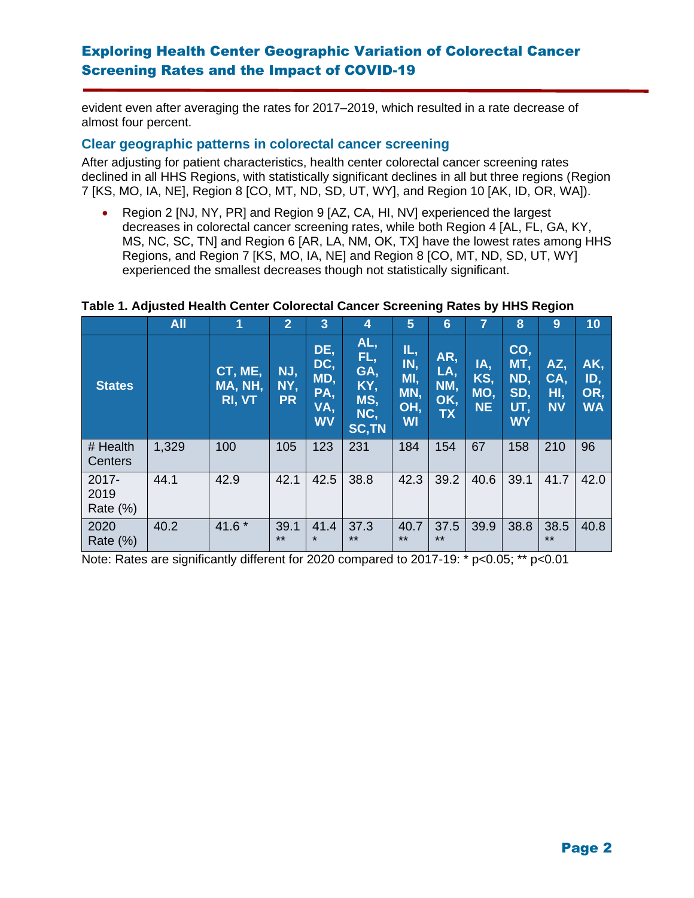# Exploring Health Center Geographic Variation of Colorectal Cancer Screening Rates and the Impact of COVID-19

evident even after averaging the rates for 2017–2019, which resulted in a rate decrease of almost four percent.

#### **Clear geographic patterns in colorectal cancer screening**

After adjusting for patient characteristics, health center colorectal cancer screening rates declined in all HHS Regions, with statistically significant declines in all but three regions (Region 7 [KS, MO, IA, NE], Region 8 [CO, MT, ND, SD, UT, WY], and Region 10 [AK, ID, OR, WA]).

• Region 2 [NJ, NY, PR] and Region 9 [AZ, CA, HI, NV] experienced the largest decreases in colorectal cancer screening rates, while both Region 4 [AL, FL, GA, KY, MS, NC, SC, TN] and Region 6 [AR, LA, NM, OK, TX] have the lowest rates among HHS Regions, and Region 7 [KS, MO, IA, NE] and Region 8 [CO, MT, ND, SD, UT, WY] experienced the smallest decreases though not statistically significant.

#### **Table 1. Adjusted Health Center Colorectal Cancer Screening Rates by HHS Region**

|                                 | <b>All</b> | 1                            | 2                       | 3                                            | 4                                                      | 5                                            | 6                                     |                                | 8                                            | 9                              | 10                             |
|---------------------------------|------------|------------------------------|-------------------------|----------------------------------------------|--------------------------------------------------------|----------------------------------------------|---------------------------------------|--------------------------------|----------------------------------------------|--------------------------------|--------------------------------|
| <b>States</b>                   |            | CT, ME,<br>MA, NH,<br>RI, VT | NJ,<br>NY,<br><b>PR</b> | DE,<br>DC,<br>MD,<br>PA,<br>VA,<br><b>WV</b> | AL,<br>FL,<br>GA,<br>KY,<br>MS,<br>NC,<br><b>SC,TN</b> | IL,<br>IN,<br>MI,<br>MN,<br>OH,<br><b>WI</b> | AR,<br>LA,<br>NM,<br>OK,<br><b>TX</b> | IA,<br>KS,<br>MO,<br><b>NE</b> | CO,<br>MT,<br>ND,<br>SD,<br>UT,<br><b>WY</b> | AZ,<br>CA,<br>HI,<br><b>NV</b> | AK,<br>ID,<br>OR,<br><b>WA</b> |
| # Health<br>Centers             | 1,329      | 100                          | 105                     | 123                                          | 231                                                    | 184                                          | 154                                   | 67                             | 158                                          | 210                            | 96                             |
| $2017 -$<br>2019<br>Rate $(\%)$ | 44.1       | 42.9                         | 42.1                    | 42.5                                         | 38.8                                                   | 42.3                                         | 39.2                                  | 40.6                           | 39.1                                         | 41.7                           | 42.0                           |
| 2020<br>Rate (%)                | 40.2       | 41.6 *                       | 39.1<br>$***$           | 41.4<br>$\star$                              | 37.3<br>$***$                                          | 40.7<br>$***$                                | 37.5<br>$***$                         | 39.9                           | 38.8                                         | 38.5<br>$***$                  | 40.8                           |

Note: Rates are significantly different for 2020 compared to 2017-19: \* p<0.05; \*\* p<0.01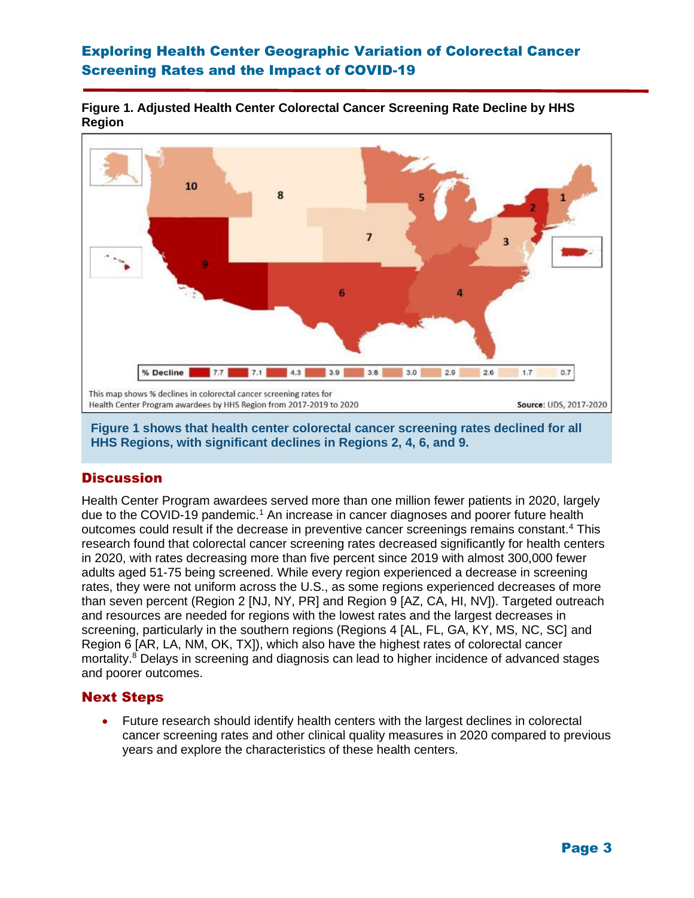# Exploring Health Center Geographic Variation of Colorectal Cancer Screening Rates and the Impact of COVID-19

#### **Figure 1. Adjusted Health Center Colorectal Cancer Screening Rate Decline by HHS Region**



**Figure 1 shows that health center colorectal cancer screening rates declined for all HHS Regions, with significant declines in Regions 2, 4, 6, and 9.**

# **Discussion**

Health Center Program awardees served more than one million fewer patients in 2020, largely due to the COVID-19 pandemic.<sup>1</sup> An increase in cancer diagnoses and poorer future health outcomes could result if the decrease in preventive cancer screenings remains constant.<sup>4</sup> This research found that colorectal cancer screening rates decreased significantly for health centers in 2020, with rates decreasing more than five percent since 2019 with almost 300,000 fewer adults aged 51-75 being screened. While every region experienced a decrease in screening rates, they were not uniform across the U.S., as some regions experienced decreases of more than seven percent (Region 2 [NJ, NY, PR] and Region 9 [AZ, CA, HI, NV]). Targeted outreach and resources are needed for regions with the lowest rates and the largest decreases in screening, particularly in the southern regions (Regions 4 [AL, FL, GA, KY, MS, NC, SC] and Region 6 [AR, LA, NM, OK, TX]), which also have the highest rates of colorectal cancer mortality.<sup>8</sup> Delays in screening and diagnosis can lead to higher incidence of advanced stages and poorer outcomes.

#### Next Steps

• Future research should identify health centers with the largest declines in colorectal cancer screening rates and other clinical quality measures in 2020 compared to previous years and explore the characteristics of these health centers.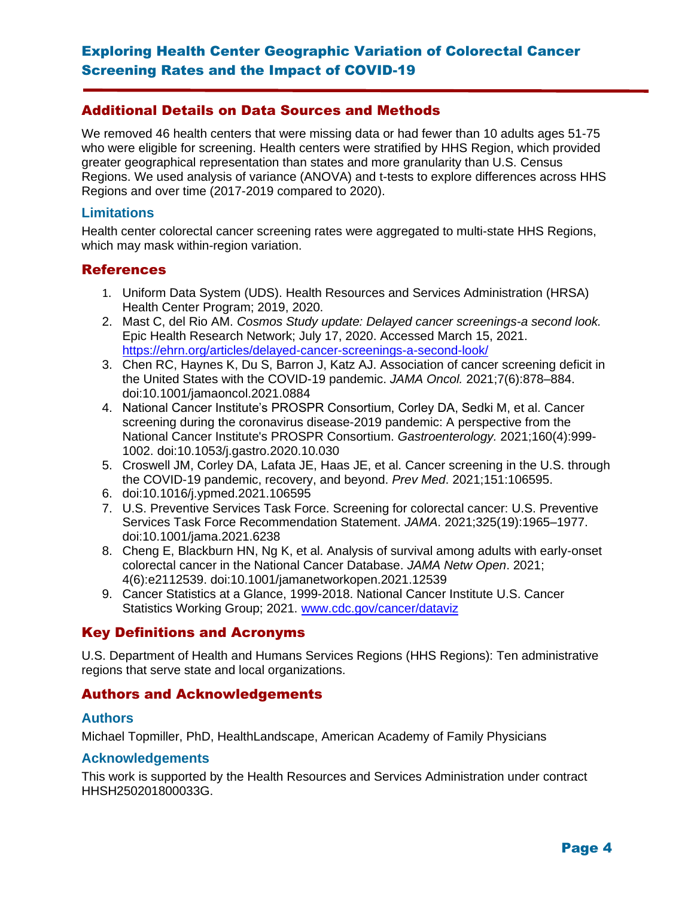# Additional Details on Data Sources and Methods

We removed 46 health centers that were missing data or had fewer than 10 adults ages 51-75 who were eligible for screening. Health centers were stratified by HHS Region, which provided greater geographical representation than states and more granularity than U.S. Census Regions. We used analysis of variance (ANOVA) and t-tests to explore differences across HHS Regions and over time (2017-2019 compared to 2020).

#### **Limitations**

Health center colorectal cancer screening rates were aggregated to multi-state HHS Regions, which may mask within-region variation.

#### **References**

- 1. Uniform Data System (UDS). Health Resources and Services Administration (HRSA) Health Center Program; 2019, 2020.
- 2. Mast C, del Rio AM. *Cosmos Study update: Delayed cancer screenings-a second look.*  Epic Health Research Network; July 17, 2020. Accessed March 15, 2021. <https://ehrn.org/articles/delayed-cancer-screenings-a-second-look/>
- 3. Chen RC, Haynes K, Du S, Barron J, Katz AJ. Association of cancer screening deficit in the United States with the COVID-19 pandemic. *JAMA Oncol.* 2021;7(6):878–884. doi:10.1001/jamaoncol.2021.0884
- 4. National Cancer Institute's PROSPR Consortium, Corley DA, Sedki M, et al. Cancer screening during the coronavirus disease-2019 pandemic: A perspective from the National Cancer Institute's PROSPR Consortium. *Gastroenterology.* 2021;160(4):999- 1002. doi:10.1053/j.gastro.2020.10.030
- 5. Croswell JM, Corley DA, Lafata JE, Haas JE, et al. Cancer screening in the U.S. through the COVID-19 pandemic, recovery, and beyond. *Prev Med*. 2021;151:106595.
- 6. doi:10.1016/j.ypmed.2021.106595
- 7. U.S. Preventive Services Task Force. Screening for colorectal cancer: U.S. Preventive Services Task Force Recommendation Statement. *JAMA*. 2021;325(19):1965–1977. doi:10.1001/jama.2021.6238
- 8. Cheng E, Blackburn HN, Ng K, et al. Analysis of survival among adults with early-onset colorectal cancer in the National Cancer Database. *JAMA Netw Open*. 2021; 4(6):e2112539. doi:10.1001/jamanetworkopen.2021.12539
- 9. Cancer Statistics at a Glance, 1999-2018. National Cancer Institute U.S. Cancer Statistics Working Group; 2021. [www.cdc.gov/cancer/dataviz](http://www.cdc.gov/cancer/dataviz)

# Key Definitions and Acronyms

U.S. Department of Health and Humans Services Regions (HHS Regions): Ten administrative regions that serve state and local organizations.

# Authors and Acknowledgements

#### **Authors**

Michael Topmiller, PhD, HealthLandscape, American Academy of Family Physicians

#### **Acknowledgements**

This work is supported by the Health Resources and Services Administration under contract HHSH250201800033G.